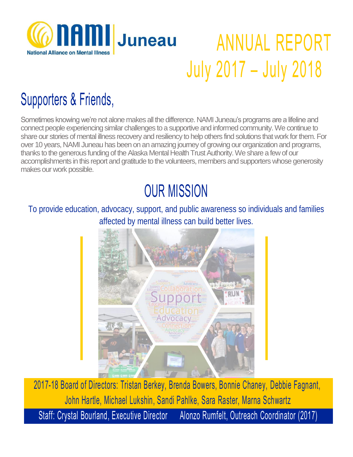

## ANNUAL REPORT July 2017 – July 2018

### Supporters & Friends,

Sometimes knowing we're not alone makes all the difference. NAMI Juneau's programs are a lifeline and connect people experiencing similar challenges to a supportive and informed community. We continue to share our stories of mental illness recovery and resiliency to help others find solutions that work for them. For over 10 years, NAMI Juneau has been on an amazing journey of growing our organization and programs, thanks to the generous funding of the Alaska Mental Health Trust Authority. We share a few of our accomplishments in this report and gratitude to the volunteers, members and supporters whose generosity makes our work possible.

### OUR MISSION

To provide education, advocacy, support, and public awareness so individuals and families affected by mental illness can build better lives.



2017-18 Board of Directors: Tristan Berkey, Brenda Bowers, Bonnie Chaney, Debbie Fagnant,, John Hartle, Michael Lukshin, Sandi Pahlke, Sara Raster, Marna Schwartz Staff: Crystal Bourland, Executive Director Alonzo Rumfelt, Outreach Coordinator (2017)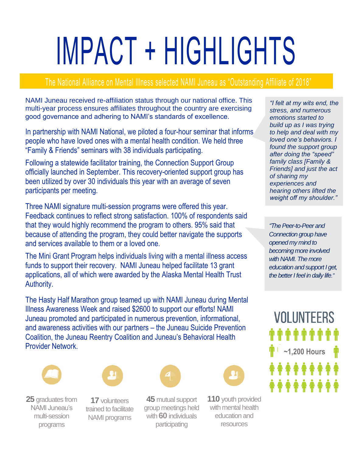# IMPACT + HIGHLIGHTS

#### The National Alliance on Mental Illness selected NAMI Juneau as "Outstanding Affiliate of 2018"

NAMI Juneau received re-affiliation status through our national office. This multi-year process ensures affiliates throughout the country are exercising good governance and adhering to NAMI's standards of excellence.

In partnership with NAMI National, we piloted a four-hour seminar that informs people who have loved ones with a mental health condition. We held three "Family & Friends" seminars with 38 individuals participating.

Following a statewide facilitator training, the Connection Support Group officially launched in September. This recovery-oriented support group has been utilized by over 30 individuals this year with an average of seven participants per meeting.

Three NAMI signature multi-session programs were offered this year. Feedback continues to reflect strong satisfaction. 100% of respondents said that they would highly recommend the program to others. 95% said that because of attending the program, they could better navigate the supports and services available to them or a loved one.

The Mini Grant Program helps individuals living with a mental illness access funds to support their recovery. NAMI Juneau helped facilitate 13 grant applications, all of which were awarded by the Alaska Mental Health Trust Authority.

The Hasty Half Marathon group teamed up with NAMI Juneau during Mental Illness Awareness Week and raised \$2600 to support our efforts! NAMI Juneau promoted and participated in numerous prevention, informational, and awareness activities with our partners – the Juneau Suicide Prevention Coalition, the Juneau Reentry Coalition and Juneau's Behavioral Health Provider Network.





**25** graduates from NAMI Juneau's multi-session programs

**17** volunteers trained to facilitate NAMI programs



**45** mutual support group meetings held with **60** individuals participating



**110** youth provided with mental health education and resources

*"I felt at my wits end, the stress, and numerous emotions started to build up as I was trying to help and deal with my loved one's behaviors. I found the support group after doing the "speed" family class [Family & Friends] and just the act of sharing my experiences and hearing others lifted the weight off my shoulder."*

*"ThePeer-to-Peer and Connection group have opened my mind to becoming more involved with NAMI. The more education and support I get, the better I feel in daily life."*

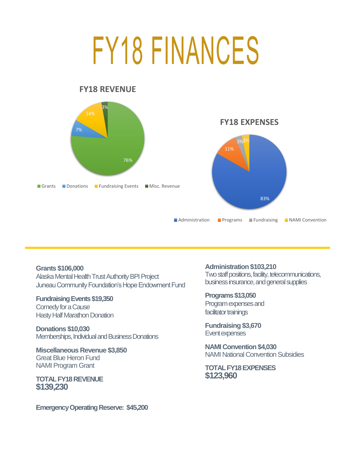## FY18 FINANCES



**Grants \$106,000** Alaska Mental Health Trust Authority BPI Project Juneau Community Foundation's Hope Endowment Fund

#### **Fundraising Events \$19,350**

Comedy for a Cause Hasty Half Marathon Donation

**Donations \$10,030** Memberships, Individual and Business Donations

**Miscellaneous Revenue \$3,850** Great Blue Heron Fund NAMI Program Grant

**TOTAL FY18 REVENUE \$139,230**

**Emergency Operating Reserve: \$45,200**

**Administration \$103,210**

Two staff positions, facility, telecommunications, business insurance, and general supplies

**Programs \$13,050** Program expenses and facilitator trainings

**Fundraising \$3,670** Event expenses

**NAMI Convention \$4,030** NAMI National Convention Subsidies

**TOTAL FY18 EXPENSES \$123,960**